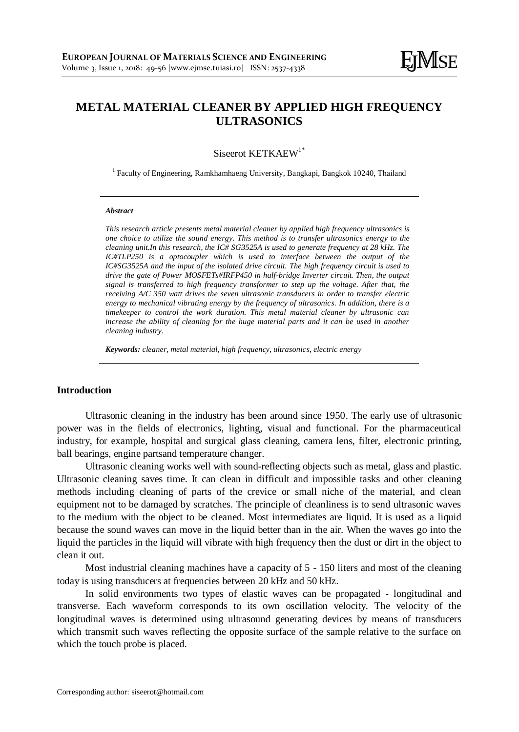## **METAL MATERIAL CLEANER BY APPLIED HIGH FREQUENCY ULTRASONICS**

Siseerot KETKAEW<sup>1\*</sup>

<sup>1</sup> Faculty of Engineering, Ramkhamhaeng University, Bangkapi, Bangkok 10240, Thailand

#### *Abstract*

*This research article presents metal material cleaner by applied high frequency ultrasonics is one choice to utilize the sound energy. This method is to transfer ultrasonics energy to the cleaning unit.In this research, the IC# SG3525A is used to generate frequency at 28 kHz. The IC#TLP250 is a optocoupler which is used to interface between the output of the IC#SG3525A and the input of the isolated drive circuit. The high frequency circuit is used to drive the gate of Power MOSFETs#IRFP450 in half-bridge Inverter circuit. Then, the output signal is transferred to high frequency transformer to step up the voltage. After that, the receiving A/C 350 watt drives the seven ultrasonic transducers in order to transfer electric energy to mechanical vibrating energy by the frequency of ultrasonics. In addition, there is a timekeeper to control the work duration. This metal material cleaner by ultrasonic can increase the ability of cleaning for the huge material parts and it can be used in another cleaning industry.*

*Keywords: cleaner, metal material, high frequency, ultrasonics, electric energy*

#### **Introduction**

Ultrasonic cleaning in the industry has been around since 1950. The early use of ultrasonic power was in the fields of electronics, lighting, visual and functional. For the pharmaceutical industry, for example, hospital and surgical glass cleaning, camera lens, filter, electronic printing, ball bearings, engine partsand temperature changer.

Ultrasonic cleaning works well with sound-reflecting objects such as metal, glass and plastic. Ultrasonic cleaning saves time. It can clean in difficult and impossible tasks and other cleaning methods including cleaning of parts of the crevice or small niche of the material, and clean equipment not to be damaged by scratches. The principle of cleanliness is to send ultrasonic waves to the medium with the object to be cleaned. Most intermediates are liquid. It is used as a liquid because the sound waves can move in the liquid better than in the air. When the waves go into the liquid the particles in the liquid will vibrate with high frequency then the dust or dirt in the object to clean it out.

Most industrial cleaning machines have a capacity of 5 - 150 liters and most of the cleaning today is using transducers at frequencies between 20 kHz and 50 kHz.

In solid environments two types of elastic waves can be propagated - longitudinal and transverse. Each waveform corresponds to its own oscillation velocity. The velocity of the longitudinal waves is determined using ultrasound generating devices by means of transducers which transmit such waves reflecting the opposite surface of the sample relative to the surface on which the touch probe is placed.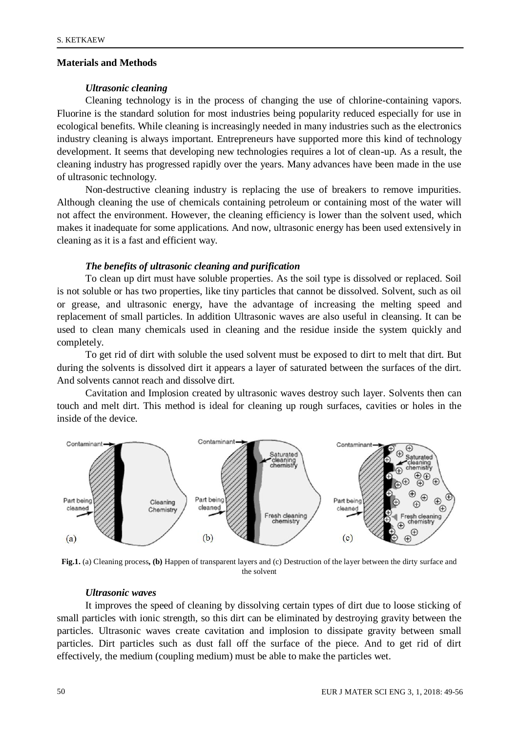### **Materials and Methods**

#### *Ultrasonic cleaning*

Cleaning technology is in the process of changing the use of chlorine-containing vapors. Fluorine is the standard solution for most industries being popularity reduced especially for use in ecological benefits. While cleaning is increasingly needed in many industries such as the electronics industry cleaning is always important. Entrepreneurs have supported more this kind of technology development. It seems that developing new technologies requires a lot of clean-up. As a result, the cleaning industry has progressed rapidly over the years. Many advances have been made in the use of ultrasonic technology.

Non-destructive cleaning industry is replacing the use of breakers to remove impurities. Although cleaning the use of chemicals containing petroleum or containing most of the water will not affect the environment. However, the cleaning efficiency is lower than the solvent used, which makes it inadequate for some applications. And now, ultrasonic energy has been used extensively in cleaning as it is a fast and efficient way.

#### *The benefits of ultrasonic cleaning and purification*

To clean up dirt must have soluble properties. As the soil type is dissolved or replaced. Soil is not soluble or has two properties, like tiny particles that cannot be dissolved. Solvent, such as oil or grease, and ultrasonic energy, have the advantage of increasing the melting speed and replacement of small particles. In addition Ultrasonic waves are also useful in cleansing. It can be used to clean many chemicals used in cleaning and the residue inside the system quickly and completely.

To get rid of dirt with soluble the used solvent must be exposed to dirt to melt that dirt. But during the solvents is dissolved dirt it appears a layer of saturated between the surfaces of the dirt. And solvents cannot reach and dissolve dirt.

Cavitation and Implosion created by ultrasonic waves destroy such layer. Solvents then can touch and melt dirt. This method is ideal for cleaning up rough surfaces, cavities or holes in the inside of the device.



**Fig.1.** (a) Cleaning process**, (b)** Happen of transparent layers and (c) Destruction of the layer between the dirty surface and the solvent

#### *Ultrasonic waves*

It improves the speed of cleaning by dissolving certain types of dirt due to loose sticking of small particles with ionic strength, so this dirt can be eliminated by destroying gravity between the particles. Ultrasonic waves create cavitation and implosion to dissipate gravity between small particles. Dirt particles such as dust fall off the surface of the piece. And to get rid of dirt effectively, the medium (coupling medium) must be able to make the particles wet.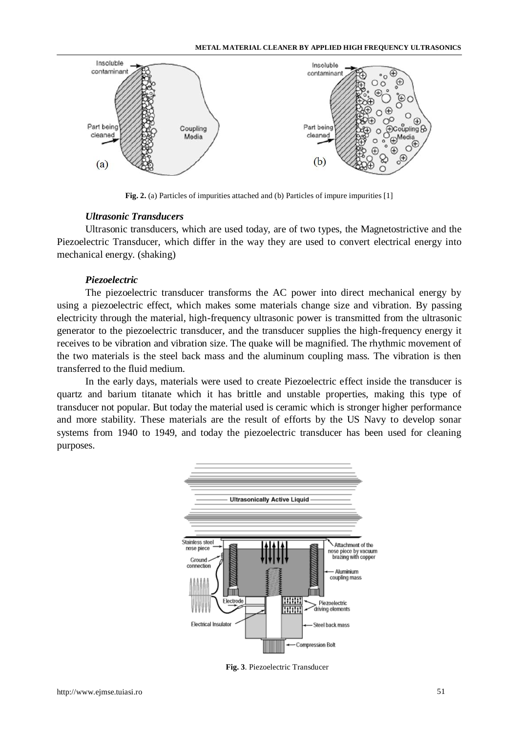

**Fig. 2.** (a) Particles of impurities attached and (b) Particles of impure impurities [1]

#### *Ultrasonic Transducers*

Ultrasonic transducers, which are used today, are of two types, the Magnetostrictive and the Piezoelectric Transducer, which differ in the way they are used to convert electrical energy into mechanical energy. (shaking)

#### *Piezoelectric*

The piezoelectric transducer transforms the AC power into direct mechanical energy by using a piezoelectric effect, which makes some materials change size and vibration. By passing electricity through the material, high-frequency ultrasonic power is transmitted from the ultrasonic generator to the piezoelectric transducer, and the transducer supplies the high-frequency energy it receives to be vibration and vibration size. The quake will be magnified. The rhythmic movement of the two materials is the steel back mass and the aluminum coupling mass. The vibration is then transferred to the fluid medium.

In the early days, materials were used to create Piezoelectric effect inside the transducer is quartz and barium titanate which it has brittle and unstable properties, making this type of transducer not popular. But today the material used is ceramic which is stronger higher performance and more stability. These materials are the result of efforts by the US Navy to develop sonar systems from 1940 to 1949, and today the piezoelectric transducer has been used for cleaning purposes.



**Fig. 3**. Piezoelectric Transducer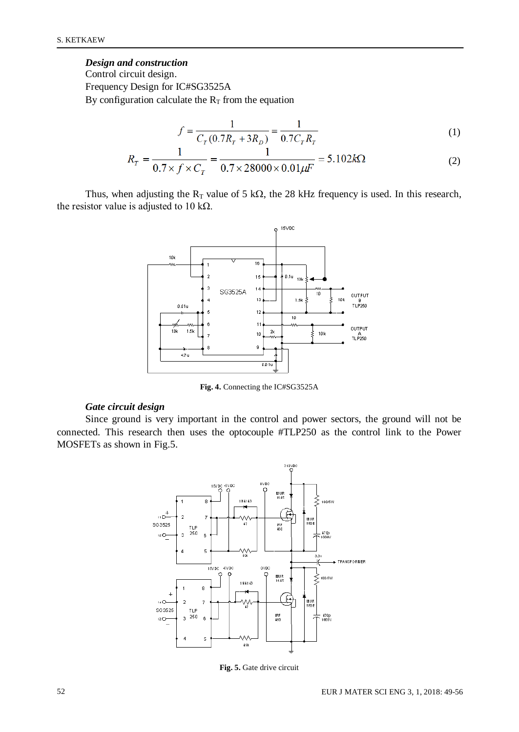# *Design and construction*

Control circuit design. Frequency Design for IC#SG3525A By configuration calculate the  $R_T$  from the equation

$$
f = \frac{1}{C_T (0.7R_T + 3R_D)} = \frac{1}{0.7C_T R_T}
$$
(1)

$$
R_T = \frac{1}{0.7 \times f \times C_T} = \frac{1}{0.7 \times 28000 \times 0.01 \mu F} = 5.102 k\Omega
$$
 (2)

Thus, when adjusting the  $R_T$  value of 5 k $\Omega$ , the 28 kHz frequency is used. In this research, the resistor value is adjusted to 10 k $\Omega$ .



**Fig. 4.** Connecting the IC#SG3525A

## *Gate circuit design*

Since ground is very important in the control and power sectors, the ground will not be connected. This research then uses the optocouple #TLP250 as the control link to the Power MOSFETs as shown in Fig.5.



**Fig. 5.** Gate drive circuit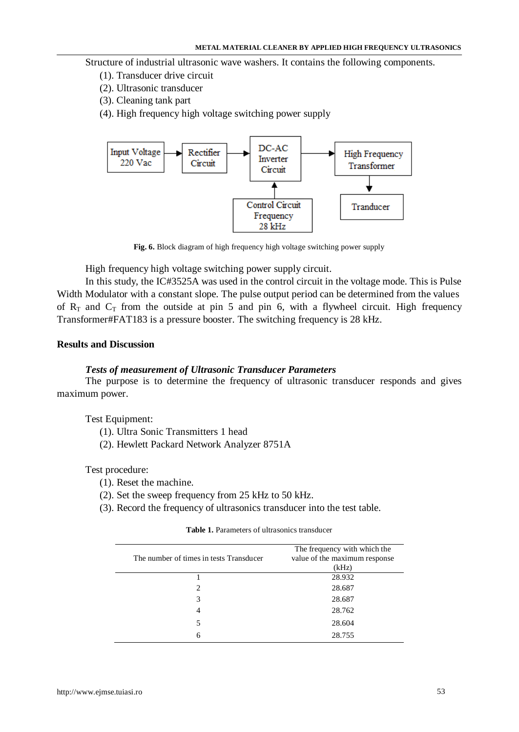Structure of industrial ultrasonic wave washers. It contains the following components.

- (1). Transducer drive circuit
- (2). Ultrasonic transducer
- (3). Cleaning tank part
- (4). High frequency high voltage switching power supply



**Fig. 6.** Block diagram of high frequency high voltage switching power supply

High frequency high voltage switching power supply circuit.

In this study, the IC#3525A was used in the control circuit in the voltage mode. This is Pulse Width Modulator with a constant slope. The pulse output period can be determined from the values of  $R_T$  and  $C_T$  from the outside at pin 5 and pin 6, with a flywheel circuit. High frequency Transformer#FAT183 is a pressure booster. The switching frequency is 28 kHz.

## **Results and Discussion**

#### *Tests of measurement of Ultrasonic Transducer Parameters*

The purpose is to determine the frequency of ultrasonic transducer responds and gives maximum power.

Test Equipment:

- (1). Ultra Sonic Transmitters 1 head
- (2). Hewlett Packard Network Analyzer 8751A

Test procedure:

- (1). Reset the machine.
- (2). Set the sweep frequency from 25 kHz to 50 kHz.
- (3). Record the frequency of ultrasonics transducer into the test table.

| <b>Table 1.</b> Parameters of ultrasonics transducer |  |  |  |
|------------------------------------------------------|--|--|--|
|------------------------------------------------------|--|--|--|

| The number of times in tests Transducer | The frequency with which the<br>value of the maximum response<br>(kHz) |
|-----------------------------------------|------------------------------------------------------------------------|
|                                         | 28.932                                                                 |
| $\overline{c}$                          | 28.687                                                                 |
| 3                                       | 28.687                                                                 |
|                                         | 28.762                                                                 |
| 5                                       | 28.604                                                                 |
| 6                                       | 28.755                                                                 |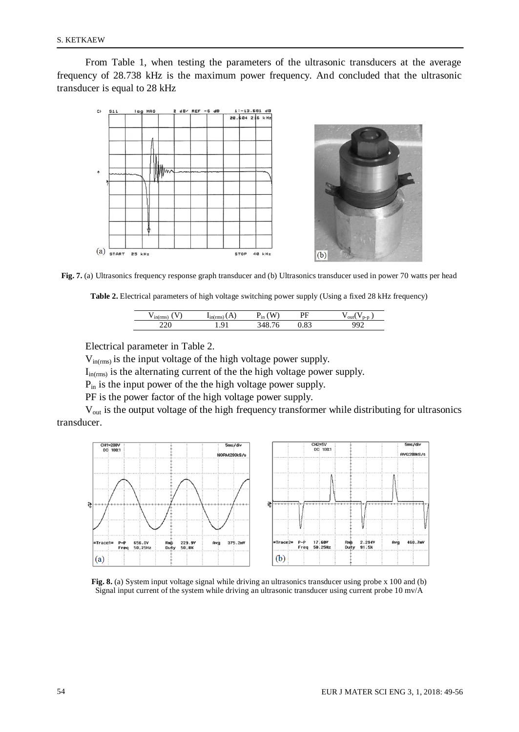From Table 1, when testing the parameters of the ultrasonic transducers at the average frequency of 28.738 kHz is the maximum power frequency. And concluded that the ultrasonic transducer is equal to 28 kHz



**Fig. 7.** (a) Ultrasonics frequency response graph transducer and (b) Ultrasonics transducer used in power 70 watts per head

**Table 2.** Electrical parameters of high voltage switching power supply (Using a fixed 28 kHz frequency)

|     | -111<br>     | M<br>ın | nг<br>.,        |  |
|-----|--------------|---------|-----------------|--|
| ້ີ້ | a<br>$\cdot$ | ◡<br>ີ  | $\cup$ . $\cup$ |  |

Electrical parameter in Table 2.

 $V_{in(rms)}$  is the input voltage of the high voltage power supply.

 $I_{in(rms)}$  is the alternating current of the the high voltage power supply.

Pin is the input power of the the high voltage power supply.

PF is the power factor of the high voltage power supply.

V<sub>out</sub> is the output voltage of the high frequency transformer while distributing for ultrasonics transducer.



**Fig. 8.** (a) System input voltage signal while driving an ultrasonics transducer using probe x 100 and (b) Signal input current of the system while driving an ultrasonic transducer using current probe 10 mv/A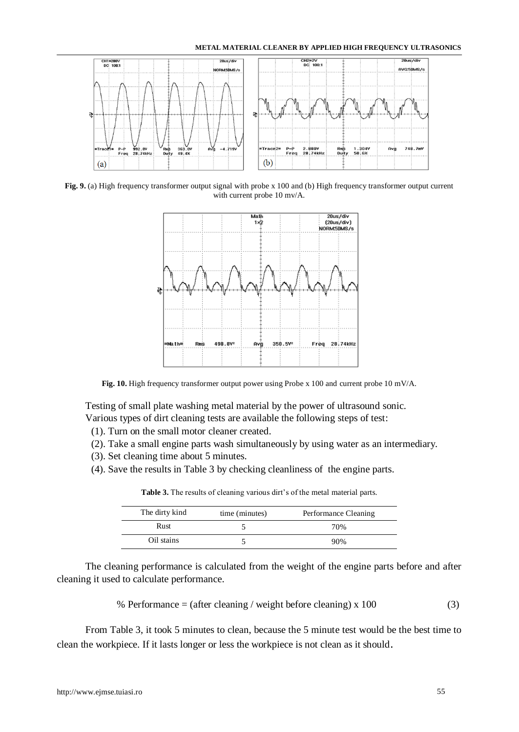#### **METAL MATERIAL CLEANER BY APPLIED HIGH FREQUENCY ULTRASONICS**



**Fig. 9.** (a) High frequency transformer output signal with probe x 100 and (b) High frequency transformer output current with current probe 10 mv/A.



**Fig. 10.** High frequency transformer output power using Probe x 100 and current probe 10 mV/A.

Testing of small plate washing metal material by the power of ultrasound sonic. Various types of dirt cleaning tests are available the following steps of test:

- (1). Turn on the small motor cleaner created.
- (2). Take a small engine parts wash simultaneously by using water as an intermediary.
- (3). Set cleaning time about 5 minutes.
- (4). Save the results in Table 3 by checking cleanliness of the engine parts.

| The dirty kind | time (minutes) | Performance Cleaning |
|----------------|----------------|----------------------|
| Rust           |                | 70%                  |
| Oil stains     |                | 90%                  |

**Table 3.** The results of cleaning various dirt's of the metal material parts.

The cleaning performance is calculated from the weight of the engine parts before and after cleaning it used to calculate performance.

% Performance = (after cleaning / weight before cleaning) x 100 
$$
(3)
$$

From Table 3, it took 5 minutes to clean, because the 5 minute test would be the best time to clean the workpiece. If it lasts longer or less the workpiece is not clean as it should.